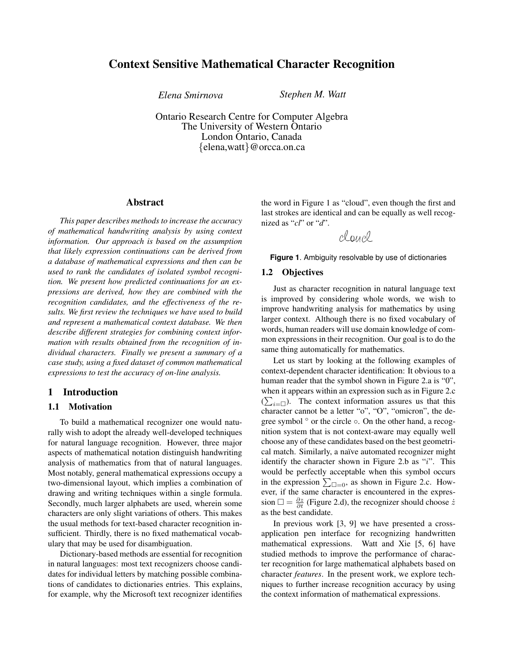# Context Sensitive Mathematical Character Recognition

*Elena Smirnova Stephen M. Watt*

Ontario Research Centre for Computer Algebra The University of Western Ontario London Ontario, Canada {elena,watt}@orcca.on.ca

## Abstract

*This paper describes methods to increase the accuracy of mathematical handwriting analysis by using context information. Our approach is based on the assumption that likely expression continuations can be derived from a database of mathematical expressions and then can be used to rank the candidates of isolated symbol recognition. We present how predicted continuations for an expressions are derived, how they are combined with the recognition candidates, and the effectiveness of the results. We first review the techniques we have used to build and represent a mathematical context database. We then describe different strategies for combining context information with results obtained from the recognition of individual characters. Finally we present a summary of a case study, using a fixed dataset of common mathematical expressions to test the accuracy of on-line analysis.*

## 1 Introduction

## 1.1 Motivation

To build a mathematical recognizer one would naturally wish to adopt the already well-developed techniques for natural language recognition. However, three major aspects of mathematical notation distinguish handwriting analysis of mathematics from that of natural languages. Most notably, general mathematical expressions occupy a two-dimensional layout, which implies a combination of drawing and writing techniques within a single formula. Secondly, much larger alphabets are used, wherein some characters are only slight variations of others. This makes the usual methods for text-based character recognition insufficient. Thirdly, there is no fixed mathematical vocabulary that may be used for disambiguation.

Dictionary-based methods are essential for recognition in natural languages: most text recognizers choose candidates for individual letters by matching possible combinations of candidates to dictionaries entries. This explains, for example, why the Microsoft text recognizer identifies

the word in Figure 1 as "cloud", even though the first and last strokes are identical and can be equally as well recognized as "*cl*" or "*d*".

claucl

### **Figure 1**. Ambiguity resolvable by use of dictionaries

### 1.2 Objectives

Just as character recognition in natural language text is improved by considering whole words, we wish to improve handwriting analysis for mathematics by using larger context. Although there is no fixed vocabulary of words, human readers will use domain knowledge of common expressions in their recognition. Our goal is to do the same thing automatically for mathematics.

Let us start by looking at the following examples of context-dependent character identification: It obvious to a human reader that the symbol shown in Figure 2.a is "0", when it appears within an expression such as in Figure 2.c  $(\sum_{i=\square})$ . The context information assures us that this character cannot be a letter "o", "O", "omicron", the degree symbol ◦ or the circle ◦. On the other hand, a recognition system that is not context-aware may equally well choose any of these candidates based on the best geometrical match. Similarly, a naïve automated recognizer might identify the character shown in Figure 2.b as "i". This would be perfectly acceptable when this symbol occurs in the expression  $\sum_{\square=0}$ , as shown in Figure 2.c. However, if the same character is encountered in the expression  $\Box = \frac{\partial z}{\partial t}$  (Figure 2.d), the recognizer should choose  $\dot{z}$ as the best candidate.

In previous work [3, 9] we have presented a crossapplication pen interface for recognizing handwritten mathematical expressions. Watt and Xie [5, 6] have studied methods to improve the performance of character recognition for large mathematical alphabets based on character *features*. In the present work, we explore techniques to further increase recognition accuracy by using the context information of mathematical expressions.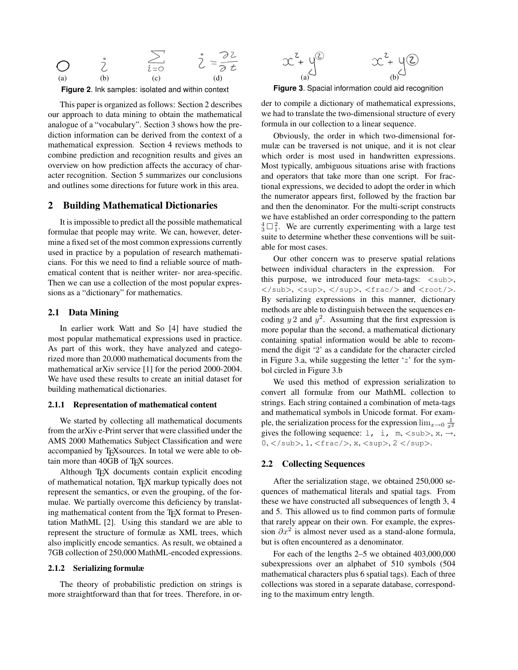

**Figure 2**. Ink samples: isolated and within context

This paper is organized as follows: Section 2 describes our approach to data mining to obtain the mathematical analogue of a "vocabulary". Section 3 shows how the prediction information can be derived from the context of a mathematical expression. Section 4 reviews methods to combine prediction and recognition results and gives an overview on how prediction affects the accuracy of character recognition. Section 5 summarizes our conclusions and outlines some directions for future work in this area.

## 2 Building Mathematical Dictionaries

It is impossible to predict all the possible mathematical formulae that people may write. We can, however, determine a fixed set of the most common expressions currently used in practice by a population of research mathematicians. For this we need to find a reliable source of mathematical content that is neither writer- nor area-specific. Then we can use a collection of the most popular expressions as a "dictionary" for mathematics.

## 2.1 Data Mining

In earlier work Watt and So [4] have studied the most popular mathematical expressions used in practice. As part of this work, they have analyzed and categorized more than 20,000 mathematical documents from the mathematical arXiv service [1] for the period 2000-2004. We have used these results to create an initial dataset for building mathematical dictionaries.

#### 2.1.1 Representation of mathematical content

We started by collecting all mathematical documents from the arXiv e-Print server that were classified under the AMS 2000 Mathematics Subject Classification and were accompanied by TEXsources. In total we were able to obtain more than 40GB of TEX sources.

Although TEX documents contain explicit encoding of mathematical notation, T<sub>E</sub>X markup typically does not represent the semantics, or even the grouping, of the formulae. We partially overcome this deficiency by translating mathematical content from the T<sub>E</sub>X format to Presentation MathML [2]. Using this standard we are able to represent the structure of formulæ as XML trees, which also implicitly encode semantics. As result, we obtained a 7GB collection of 250,000 MathML-encoded expressions.

#### 2.1.2 Serializing formulæ

The theory of probabilistic prediction on strings is more straightforward than that for trees. Therefore, in or-



**Figure 3**. Spacial information could aid recognition

der to compile a dictionary of mathematical expressions, we had to translate the two-dimensional structure of every formula in our collection to a linear sequence.

Obviously, the order in which two-dimensional formulæ can be traversed is not unique, and it is not clear which order is most used in handwritten expressions. Most typically, ambiguous situations arise with fractions and operators that take more than one script. For fractional expressions, we decided to adopt the order in which the numerator appears first, followed by the fraction bar and then the denominator. For the multi-script constructs we have established an order corresponding to the pattern  $\frac{4}{3} \Box$ ? We are currently experimenting with a large test suite to determine whether these conventions will be suitable for most cases.

Our other concern was to preserve spatial relations between individual characters in the expression. For this purpose, we introduced four meta-tags:  $\langle \text{sub} \rangle$ , </sub>, <sup>, </sup>, <frac/>> and <root/>. By serializing expressions in this manner, dictionary methods are able to distinguish between the sequences encoding  $y$  2 and  $y^2$ . Assuming that the first expression is more popular than the second, a mathematical dictionary containing spatial information would be able to recommend the digit '2' as a candidate for the character circled in Figure 3.a, while suggesting the letter  $z'$  for the symbol circled in Figure 3.b

We used this method of expression serialization to convert all formulæ from our MathML collection to strings. Each string contained a combination of meta-tags and mathematical symbols in Unicode format. For example, the serialization process for the expression  $\lim_{x\to 0} \frac{1}{x^2}$ gives the following sequence:  $1, i, m, \text{ and } x, \rightarrow,$ 0,  $\langle$ /sub>, 1,  $\langle$ frac/>, x,  $\langle$ sup>, 2  $\langle$ /sup>.

### 2.2 Collecting Sequences

After the serialization stage, we obtained 250,000 sequences of mathematical literals and spatial tags. From these we have constructed all subsequences of length 3, 4 and 5. This allowed us to find common parts of formulæ that rarely appear on their own. For example, the expression  $\partial x^2$  is almost never used as a stand-alone formula, but is often encountered as a denominator.

For each of the lengths 2–5 we obtained 403,000,000 subexpressions over an alphabet of 510 symbols (504 mathematical characters plus 6 spatial tags). Each of three collections was stored in a separate database, corresponding to the maximum entry length.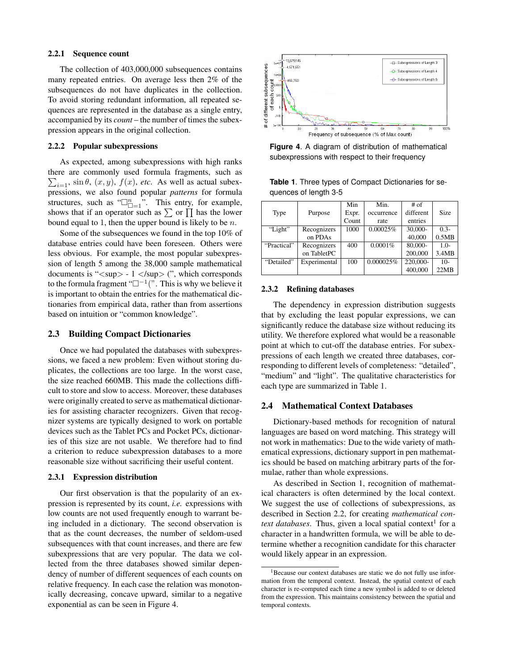#### 2.2.1 Sequence count

The collection of 403,000,000 subsequences contains many repeated entries. On average less then 2% of the subsequences do not have duplicates in the collection. To avoid storing redundant information, all repeated sequences are represented in the database as a single entry, accompanied by its *count* – the number of times the subexpression appears in the original collection.

#### 2.2.2 Popular subexpressions

As expected, among subexpressions with high ranks there are commonly used formula fragments, such as  $\sum_{i=1}$ , sin  $\theta$ ,  $(x, y)$ ,  $f(x)$ , etc. As well as actual subexpressions, we also found popular *patterns* for formula structures, such as " $\square_{\square=1}^n$ ". This entry, for example, shows that if an operator such as  $\sum$  or  $\prod$  has the lower bound equal to 1, then the upper bound is likely to be  $n$ .

Some of the subsequences we found in the top 10% of database entries could have been foreseen. Others were less obvious. For example, the most popular subexpression of length 5 among the 38,000 sample mathematical documents is " < sup > - 1 </sup > (", which corresponds to the formula fragment " $\square^{-1}$ ". This is why we believe it is important to obtain the entries for the mathematical dictionaries from empirical data, rather than from assertions based on intuition or "common knowledge".

### 2.3 Building Compact Dictionaries

Once we had populated the databases with subexpressions, we faced a new problem: Even without storing duplicates, the collections are too large. In the worst case, the size reached 660MB. This made the collections difficult to store and slow to access. Moreover, these databases were originally created to serve as mathematical dictionaries for assisting character recognizers. Given that recognizer systems are typically designed to work on portable devices such as the Tablet PCs and Pocket PCs, dictionaries of this size are not usable. We therefore had to find a criterion to reduce subexpression databases to a more reasonable size without sacrificing their useful content.

#### 2.3.1 Expression distribution

Our first observation is that the popularity of an expression is represented by its count, *i.e.* expressions with low counts are not used frequently enough to warrant being included in a dictionary. The second observation is that as the count decreases, the number of seldom-used subsequences with that count increases, and there are few subexpressions that are very popular. The data we collected from the three databases showed similar dependency of number of different sequences of each counts on relative frequency. In each case the relation was monotonically decreasing, concave upward, similar to a negative exponential as can be seen in Figure 4.



**Figure 4**. A diagram of distribution of mathematical subexpressions with respect to their frequency

|                       |  | <b>Table 1.</b> Three types of Compact Dictionaries for se- |  |
|-----------------------|--|-------------------------------------------------------------|--|
| quences of length 3-5 |  |                                                             |  |

|             |              | Min   | Min.       | $#$ of    |         |
|-------------|--------------|-------|------------|-----------|---------|
| Type        | Purpose      | Expr. | occurrence | different | Size    |
|             |              | Count | rate       | entries   |         |
| "Light"     | Recognizers  | 1000  | 0.00025%   | 30,000-   | $0.3 -$ |
|             | on PDAs      |       |            | 40,000    | 0.5MB   |
| "Practical" | Recognizers  | 400   | $0.0001\%$ | $80,000-$ | $1.0-$  |
|             | on TabletPC  |       |            | 200,000   | 3.4MB   |
| "Detailed"  | Experimental | 100   | 0.000025%  | 220,000-  | $10-$   |
|             |              |       |            | 400,000   | 22MB    |

#### 2.3.2 Refining databases

The dependency in expression distribution suggests that by excluding the least popular expressions, we can significantly reduce the database size without reducing its utility. We therefore explored what would be a reasonable point at which to cut-off the database entries. For subexpressions of each length we created three databases, corresponding to different levels of completeness: "detailed", "medium" and "light". The qualitative characteristics for each type are summarized in Table 1.

## 2.4 Mathematical Context Databases

Dictionary-based methods for recognition of natural languages are based on word matching. This strategy will not work in mathematics: Due to the wide variety of mathematical expressions, dictionary support in pen mathematics should be based on matching arbitrary parts of the formulae, rather than whole expressions.

As described in Section 1, recognition of mathematical characters is often determined by the local context. We suggest the use of collections of subexpressions, as described in Section 2.2, for creating *mathematical con*text databases. Thus, given a local spatial context<sup>1</sup> for a character in a handwritten formula, we will be able to determine whether a recognition candidate for this character would likely appear in an expression.

<sup>&</sup>lt;sup>1</sup>Because our context databases are static we do not fully use information from the temporal context. Instead, the spatial context of each character is re-computed each time a new symbol is added to or deleted from the expression. This maintains consistency between the spatial and temporal contexts.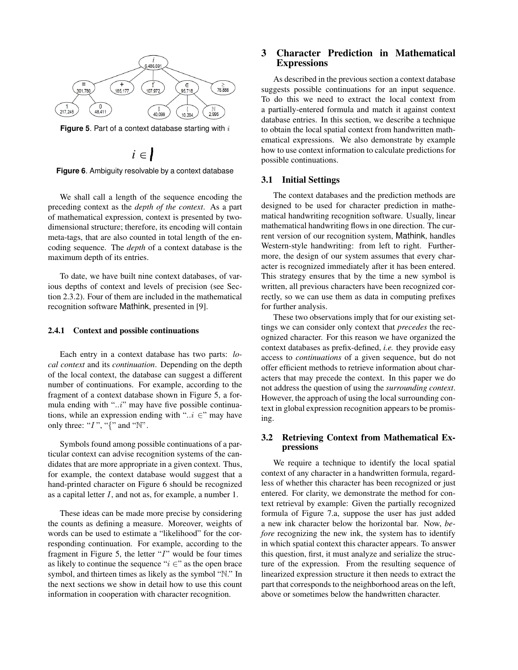

**Figure 5**. Part of a context database starting with i

$$
i \in
$$

**Figure 6**. Ambiguity resolvable by a context database

We shall call a length of the sequence encoding the preceding context as the *depth of the context*. As a part of mathematical expression, context is presented by twodimensional structure; therefore, its encoding will contain meta-tags, that are also counted in total length of the encoding sequence. The *depth* of a context database is the maximum depth of its entries.

To date, we have built nine context databases, of various depths of context and levels of precision (see Section 2.3.2). Four of them are included in the mathematical recognition software Mathink, presented in [9].

### 2.4.1 Context and possible continuations

Each entry in a context database has two parts: *local context* and its *continuation*. Depending on the depth of the local context, the database can suggest a different number of continuations. For example, according to the fragment of a context database shown in Figure 5, a formula ending with "..i" may have five possible continuations, while an expression ending with " $\ldots$  ∈" may have only three: " $I$ ", " $\{$ " and " $\mathbb{N}$ ".

Symbols found among possible continuations of a particular context can advise recognition systems of the candidates that are more appropriate in a given context. Thus, for example, the context database would suggest that a hand-printed character on Figure 6 should be recognized as a capital letter I, and not as, for example, a number 1.

These ideas can be made more precise by considering the counts as defining a measure. Moreover, weights of words can be used to estimate a "likelihood" for the corresponding continuation. For example, according to the fragment in Figure 5, the letter "I" would be four times as likely to continue the sequence " $i \in$ " as the open brace symbol, and thirteen times as likely as the symbol "N." In the next sections we show in detail how to use this count information in cooperation with character recognition.

## 3 Character Prediction in Mathematical **Expressions**

As described in the previous section a context database suggests possible continuations for an input sequence. To do this we need to extract the local context from a partially-entered formula and match it against context database entries. In this section, we describe a technique to obtain the local spatial context from handwritten mathematical expressions. We also demonstrate by example how to use context information to calculate predictions for possible continuations.

## 3.1 Initial Settings

The context databases and the prediction methods are designed to be used for character prediction in mathematical handwriting recognition software. Usually, linear mathematical handwriting flows in one direction. The current version of our recognition system, Mathink, handles Western-style handwriting: from left to right. Furthermore, the design of our system assumes that every character is recognized immediately after it has been entered. This strategy ensures that by the time a new symbol is written, all previous characters have been recognized correctly, so we can use them as data in computing prefixes for further analysis.

These two observations imply that for our existing settings we can consider only context that *precedes* the recognized character. For this reason we have organized the context databases as prefix-defined, *i.e.* they provide easy access to *continuations* of a given sequence, but do not offer efficient methods to retrieve information about characters that may precede the context. In this paper we do not address the question of using the *surrounding context*. However, the approach of using the local surrounding context in global expression recognition appears to be promising.

## 3.2 Retrieving Context from Mathematical Expressions

We require a technique to identify the local spatial context of any character in a handwritten formula, regardless of whether this character has been recognized or just entered. For clarity, we demonstrate the method for context retrieval by example: Given the partially recognized formula of Figure 7.a, suppose the user has just added a new ink character below the horizontal bar. Now, *before* recognizing the new ink, the system has to identify in which spatial context this character appears. To answer this question, first, it must analyze and serialize the structure of the expression. From the resulting sequence of linearized expression structure it then needs to extract the part that corresponds to the neighborhood areas on the left, above or sometimes below the handwritten character.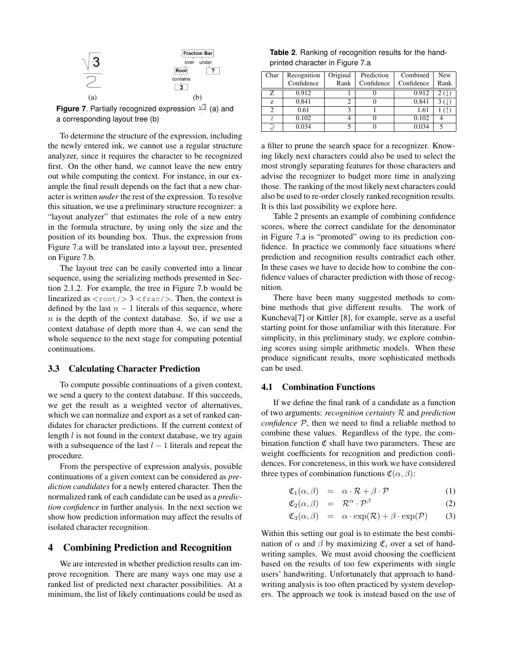

**Figure 7.** Partially recognized expression  $\frac{\sqrt{3}}{2}$  (a) and a corresponding layout tree (b)

To determine the structure of the expression, including the newly entered ink, we cannot use a regular structure analyzer, since it requires the character to be recognized first. On the other hand, we cannot leave the new entry out while computing the context. For instance, in our example the final result depends on the fact that a new character is written *under* the rest of the expression. To resolve this situation, we use a preliminary structure recognizer: a "layout analyzer" that estimates the role of a new entry in the formula structure, by using only the size and the position of its bounding box. Thus, the expression from Figure 7.a will be translated into a layout tree, presented on Figure 7.b.

The layout tree can be easily converted into a linear sequence, using the serializing methods presented in Section 2.1.2. For example, the tree in Figure 7.b would be linearized as  $\langle \text{root} \rangle > 3 \langle \text{frac} \rangle$ . Then, the context is defined by the last  $n - 1$  literals of this sequence, where n is the depth of the context database. So, if we use a context database of depth more than 4, we can send the whole sequence to the next stage for computing potential continuations.

# 3.3 Calculating Character Prediction

To compute possible continuations of a given context, we send a query to the context database. If this succeeds, we get the result as a weighted vector of alternatives, which we can normalize and export as a set of ranked candidates for character predictions. If the current context of length *l* is not found in the context database, we try again with a subsequence of the last  $l - 1$  literals and repeat the procedure.

From the perspective of expression analysis, possible continuations of a given context can be considered as *prediction candidates* for a newly entered character. Then the normalized rank of each candidate can be used as a *prediction confidence* in further analysis. In the next section we show how prediction information may affect the results of isolated character recognition.

## 4 Combining Prediction and Recognition

We are interested in whether prediction results can improve recognition. There are many ways one may use a ranked list of predicted next character possibilities. At a minimum, the list of likely continuations could be used as

**Table 2**. Ranking of recognition results for the handprinted character in Figure 7.a

| Char          | Recognition | Original | Prediction | Combined   | <b>New</b> |
|---------------|-------------|----------|------------|------------|------------|
|               | Confidence  | Rank     | Confidence | Confidence | Rank       |
| Z             | 0.912       |          |            | 0.912      | 2 (.F      |
| Z.            | 0.841       | 2        |            | 0.841      | 3(1)       |
| $\mathcal{D}$ | 0.61        | ٩        |            | 1.61       |            |
|               | 0.102       | 4        |            | 0.102      |            |
|               | 0.034       |          |            | 0.034      |            |

a filter to prune the search space for a recognizer. Knowing likely next characters could also be used to select the most strongly separating features for those characters and advise the recognizer to budget more time in analyzing those. The ranking of the most likely next characters could also be used to re-order closely ranked recognition results. It is this last possibility we explore here.

Table 2 presents an example of combining confidence scores, where the correct candidate for the denominator in Figure 7.a is "promoted" owing to its prediction confidence. In practice we commonly face situations where prediction and recognition results contradict each other. In these cases we have to decide how to combine the confidence values of character prediction with those of recognition.

There have been many suggested methods to combine methods that give different results. The work of Kuncheva[7] or Kittler [8], for example, serve as a useful starting point for those unfamiliar with this literature. For simplicity, in this preliminary study, we explore combining scores using simple arithmetic models. When these produce significant results, more sophisticated methods can be used.

## 4.1 Combination Functions

If we define the final rank of a candidate as a function of two arguments: *recognition certainty* R and *prediction confidence* P, then we need to find a reliable method to combine these values. Regardless of the type, the combination function  $\mathfrak C$  shall have two parameters. These are weight coefficients for recognition and prediction confidences. For concreteness, in this work we have considered three types of combination functions  $\mathfrak{C}(\alpha, \beta)$ :

$$
\mathfrak{C}_1(\alpha,\beta) = \alpha \cdot \mathcal{R} + \beta \cdot \mathcal{P} \tag{1}
$$

$$
\mathfrak{C}_2(\alpha,\beta) = \mathcal{R}^{\alpha} \cdot \mathcal{P}^{\beta} \tag{2}
$$

$$
\mathfrak{C}_3(\alpha,\beta) = \alpha \cdot \exp(\mathcal{R}) + \beta \cdot \exp(\mathcal{P}) \qquad (3)
$$

Within this setting our goal is to estimate the best combination of  $\alpha$  and  $\beta$  by maximizing  $\mathfrak{C}_i$  over a set of handwriting samples. We must avoid choosing the coefficient based on the results of too few experiments with single users' handwriting. Unfortunately that approach to handwriting analysis is too often practiced by system developers. The approach we took is instead based on the use of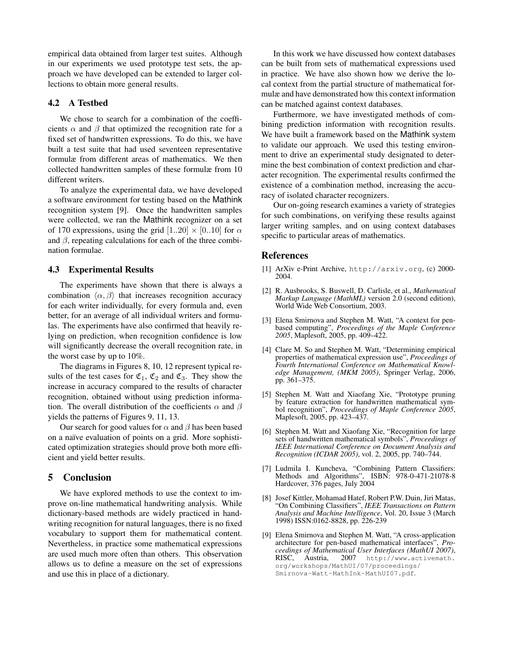empirical data obtained from larger test suites. Although in our experiments we used prototype test sets, the approach we have developed can be extended to larger collections to obtain more general results.

## 4.2 A Testbed

We chose to search for a combination of the coefficients  $\alpha$  and  $\beta$  that optimized the recognition rate for a fixed set of handwritten expressions. To do this, we have built a test suite that had used seventeen representative formulæ from different areas of mathematics. We then collected handwritten samples of these formulæ from 10 different writers.

To analyze the experimental data, we have developed a software environment for testing based on the Mathink recognition system [9]. Once the handwritten samples were collected, we ran the Mathink recognizer on a set of 170 expressions, using the grid  $[1..20] \times [0..10]$  for  $\alpha$ and  $\beta$ , repeating calculations for each of the three combination formulae.

## 4.3 Experimental Results

The experiments have shown that there is always a combination  $\langle \alpha, \beta \rangle$  that increases recognition accuracy for each writer individually, for every formula and, even better, for an average of all individual writers and formulas. The experiments have also confirmed that heavily relying on prediction, when recognition confidence is low will significantly decrease the overall recognition rate, in the worst case by up to 10%.

The diagrams in Figures 8, 10, 12 represent typical results of the test cases for  $\mathfrak{C}_1$ ,  $\mathfrak{C}_2$  and  $\mathfrak{C}_3$ . They show the increase in accuracy compared to the results of character recognition, obtained without using prediction information. The overall distribution of the coefficients  $\alpha$  and  $\beta$ yields the patterns of Figures 9, 11, 13.

Our search for good values for  $\alpha$  and  $\beta$  has been based on a naïve evaluation of points on a grid. More sophisticated optimization strategies should prove both more efficient and yield better results.

## 5 Conclusion

We have explored methods to use the context to improve on-line mathematical handwriting analysis. While dictionary-based methods are widely practiced in handwriting recognition for natural languages, there is no fixed vocabulary to support them for mathematical content. Nevertheless, in practice some mathematical expressions are used much more often than others. This observation allows us to define a measure on the set of expressions and use this in place of a dictionary.

In this work we have discussed how context databases can be built from sets of mathematical expressions used in practice. We have also shown how we derive the local context from the partial structure of mathematical formulæ and have demonstrated how this context information can be matched against context databases.

Furthermore, we have investigated methods of combining prediction information with recognition results. We have built a framework based on the Mathink system to validate our approach. We used this testing environment to drive an experimental study designated to determine the best combination of context prediction and character recognition. The experimental results confirmed the existence of a combination method, increasing the accuracy of isolated character recognizers.

Our on-going research examines a variety of strategies for such combinations, on verifying these results against larger writing samples, and on using context databases specific to particular areas of mathematics.

## References

- [1] ArXiv e-Print Archive, http://arxiv.org, (c) 2000- 2004.
- [2] R. Ausbrooks, S. Buswell, D. Carlisle, et al., *Mathematical Markup Language (MathML)* version 2.0 (second edition), World Wide Web Consortium, 2003.
- [3] Elena Smirnova and Stephen M. Watt, "A context for penbased computing", *Proceedings of the Maple Conference 2005*, Maplesoft, 2005, pp. 409–422.
- [4] Clare M. So and Stephen M. Watt, "Determining empirical properties of mathematical expression use", *Proceedings of Fourth International Conference on Mathematical Knowledge Management, (MKM 2005)*, Springer Verlag, 2006, pp. 361–375.
- [5] Stephen M. Watt and Xiaofang Xie, "Prototype pruning by feature extraction for handwritten mathematical symbol recognition", *Proceedings of Maple Conference 2005*, Maplesoft, 2005, pp. 423–437.
- [6] Stephen M. Watt and Xiaofang Xie, "Recognition for large sets of handwritten mathematical symbols", *Proceedings of IEEE International Conference on Document Analysis and Recognition (ICDAR 2005)*, vol. 2, 2005, pp. 740–744.
- [7] Ludmila I. Kuncheva, "Combining Pattern Classifiers: Methods and Algorithms", ISBN: 978-0-471-21078-8 Hardcover, 376 pages, July 2004
- [8] Josef Kittler, Mohamad Hatef, Robert P.W. Duin, Jiri Matas, "On Combining Classifiers", *IEEE Transactions on Pattern Analysis and Machine Intelligence*, Vol. 20, Issue 3 (March 1998) ISSN:0162-8828, pp. 226-239
- [9] Elena Smirnova and Stephen M. Watt, "A cross-application architecture for pen-based mathematical interfaces", *Proceedings of Mathematical User Interfaces (MathUI 2007)*, http://www.activemath. org/workshops/MathUI/07/proceedings/ Smirnova-Watt-MathInk-MathUI07.pdf.